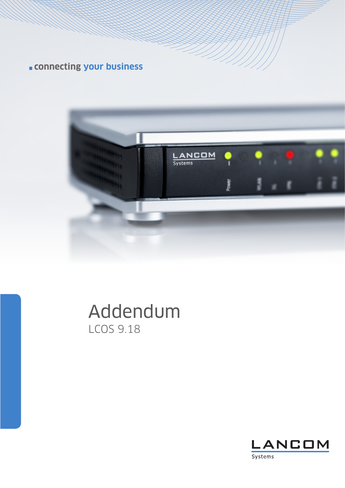**connecting your business**



# Addendum LCOS 9.18

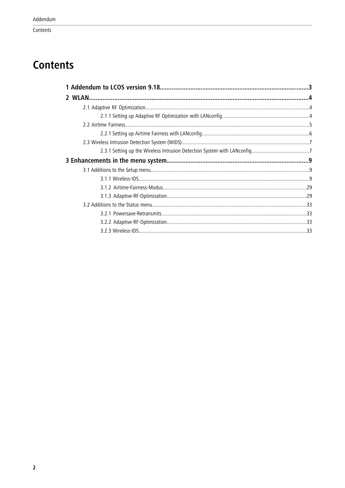# **Contents**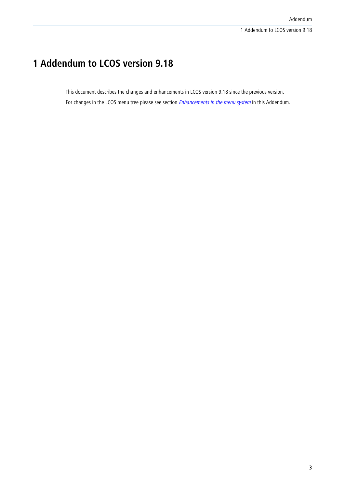# <span id="page-2-0"></span>**1 Addendum to LCOS version 9.18**

This document describes the changes and enhancements in LCOS version 9.18 since the previous version. For changes in the LCOS menu tree please see section *[Enhancements in the menu system](#page-8-0)* in this Addendum.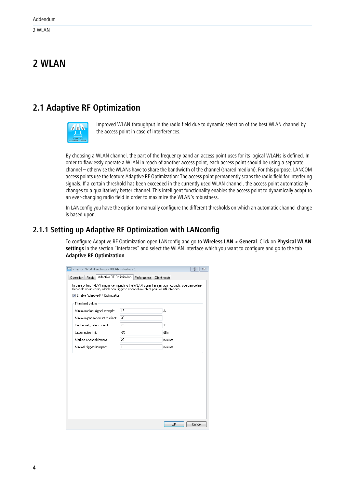# <span id="page-3-0"></span>**2 WLAN**

# <span id="page-3-1"></span>**2.1 Adaptive RF Optimization**



Improved WLAN throughput in the radio field due to dynamic selection of the best WLAN channel by the access point in case of interferences.

By choosing a WLAN channel, the part of the frequency band an access point uses for its logical WLANs is defined. In order to flawlessly operate a WLAN in reach of another access point, each access point should be using a separate channel – otherwise the WLANs have to share the bandwidth of the channel (shared medium). For this purpose, LANCOM access points use the feature Adaptive RF Optimization: The access point permanently scans the radio field for interfering signals. If a certain threshold has been exceeded in the currently used WLAN channel, the access point automatically changes to a qualitatively better channel. This intelligent functionality enables the access point to dynamically adapt to an ever-changing radio field in order to maximize the WLAN's robustness.

In LANconfig you have the option to manually configure the different thresholds on which an automatic channel change is based upon.

# <span id="page-3-2"></span>**2.1.1 Setting up Adaptive RF Optimization with LANconfig**

To configure Adaptive RF Optimization open LANconfig and go to **Wireless LAN** > **General**. Click on **Physical WLAN settings** in the section "Interfaces" and select the WLAN interface which you want to configure and go to the tab **Adaptive RF Optimization**.

| Physical WLAN settings - WLAN interface 1                                                                                                                                                                                      |              | 8<br>$\Sigma$     |
|--------------------------------------------------------------------------------------------------------------------------------------------------------------------------------------------------------------------------------|--------------|-------------------|
| Adaptive RF Optimization<br>Operation<br>Radio                                                                                                                                                                                 | Performance  | Client mode       |
| In case of bad WLAN ambiance impacting the WLAN signal transmission noticably, you can define<br>threshold values here, which can trigger a channel switch of your WLAN interface.<br><b>V</b> Enable Adaptive RF Optimization |              |                   |
| Threshold values                                                                                                                                                                                                               |              |                   |
| Minimum client signal strength:                                                                                                                                                                                                | 15           | $\boldsymbol{\%}$ |
| Minimum packet count to client:                                                                                                                                                                                                | 30           |                   |
| Packet retry rate to client:                                                                                                                                                                                                   | 70           | $\%$              |
| Upper noise limit:                                                                                                                                                                                                             | $-70$        | dB <sub>m</sub>   |
| Marked channel timeout:                                                                                                                                                                                                        | 20           | minutes           |
| Minimal trigger timespan:                                                                                                                                                                                                      | $\mathbf{1}$ | minutes           |
|                                                                                                                                                                                                                                |              |                   |
|                                                                                                                                                                                                                                |              | OK<br>Cancel      |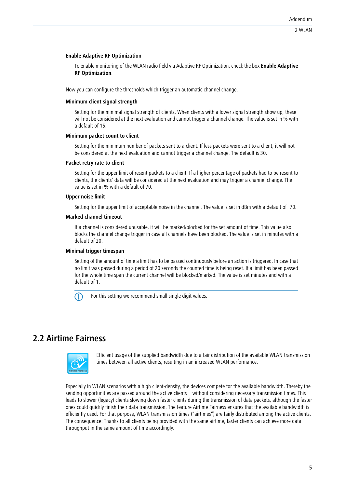#### **Enable Adaptive RF Optimization**

To enable monitoring of the WLAN radio field via Adaptive RF Optimization, check the box **Enable Adaptive RF Optimization**.

Now you can configure the thresholds which trigger an automatic channel change.

#### **Minimum client signal strength**

Setting for the minimal signal strength of clients. When clients with a lower signal strength show up, these will not be considered at the next evaluation and cannot trigger a channel change. The value is set in % with a default of 15.

# **Minimum packet count to client**

Setting for the minimum number of packets sent to a client. If less packets were sent to a client, it will not be considered at the next evaluation and cannot trigger a channel change. The default is 30.

# **Packet retry rate to client**

Setting for the upper limit of resent packets to a client. If a higher percentage of packets had to be resent to clients, the clients' data will be considered at the next evaluation and may trigger a channel change. The value is set in % with a default of 70.

#### **Upper noise limit**

Setting for the upper limit of acceptable noise in the channel. The value is set in dBm with a default of -70.

#### **Marked channel timeout**

If a channel is considered unusable, it will be marked/blocked for the set amount of time. This value also blocks the channel change trigger in case all channels have been blocked. The value is set in minutes with a default of 20.

# **Minimal trigger timespan**

Setting of the amount of time a limit has to be passed continuously before an action is triggered. In case that no limit was passed during a period of 20 seconds the counted time is being reset. If a limit has been passed for the whole time span the current channel will be blocked/marked. The value is set minutes and with a default of 1.

 $\bigcap$  For this setting we recommend small single digit values.

# <span id="page-4-0"></span>**2.2 Airtime Fairness**



Efficient usage of the supplied bandwidth due to a fair distribution of the available WLAN transmission times between all active clients, resulting in an increased WLAN performance.

Especially in WLAN scenarios with a high client-density, the devices compete for the available bandwidth. Thereby the sending opportunities are passed around the active clients – without considering necessary transmission times. This leads to slower (legacy) clients slowing down faster clients during the transmission of data packets, although the faster ones could quickly finish their data transmission. The feature Airtime Fairness ensures that the available bandwidth is efficiently used. For that purpose, WLAN transmission times ("airtimes") are fairly distributed among the active clients. The consequence: Thanks to all clients being provided with the same airtime, faster clients can achieve more data throughput in the same amount of time accordingly.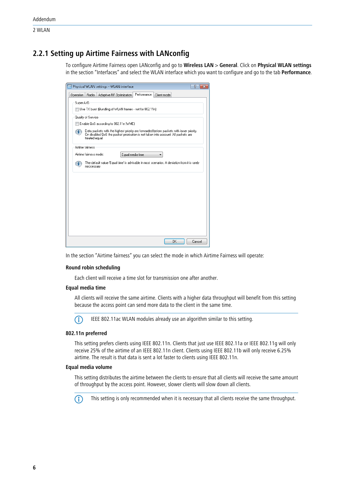# <span id="page-5-0"></span>**2.2.1 Setting up Airtime Fairness with LANconfig**

To configure Airtime Fairness open LANconfig and go to **Wireless LAN** > **General**. Click on **Physical WLAN settings** in the section "Interfaces" and select the WLAN interface which you want to configure and go to the tab **Performance**.

| $\overline{R}$<br>Physical WLAN settings - WLAN interface<br>$\overline{\mathbf{x}}$                                                                                                                  |
|-------------------------------------------------------------------------------------------------------------------------------------------------------------------------------------------------------|
| Performance<br>Radio<br>Operation<br>Adaptive RF Optimization<br>Client mode                                                                                                                          |
| Super A/G                                                                                                                                                                                             |
| Use TX burst (Bundling of WLAN frames - not for 802.11n)                                                                                                                                              |
| Quality of Service                                                                                                                                                                                    |
| Enable QoS according to 802.11e (WME)                                                                                                                                                                 |
| Data packets with the highest priority are forwarded before packets with lower priority.<br>1<br>On disabled QoS the packet priorisation is not taken into account. All packets are<br>treated equal. |
| Airtime fairness                                                                                                                                                                                      |
| Airtime fairness mode:<br>Equal media time                                                                                                                                                            |
| The default value 'Equal time' is advisable in most scenarios. A deviation from it is rarely<br>1<br>neccessary.                                                                                      |
|                                                                                                                                                                                                       |
|                                                                                                                                                                                                       |
|                                                                                                                                                                                                       |
|                                                                                                                                                                                                       |
|                                                                                                                                                                                                       |
|                                                                                                                                                                                                       |
|                                                                                                                                                                                                       |
|                                                                                                                                                                                                       |
| OK<br>Cancel                                                                                                                                                                                          |

In the section "Airtime fairness" you can select the mode in which Airtime Fairness will operate:

# **Round robin scheduling**

Each client will receive a time slot for transmission one after another.

# **Equal media time**

All clients will receive the same airtime. Clients with a higher data throughput will benefit from this setting because the access point can send more data to the client in the same time.



(i) IEEE 802.11ac WLAN modules already use an algorithm similar to this setting.

#### **802.11n preferred**

This setting prefers clients using IEEE 802.11n. Clients that just use IEEE 802.11a or IEEE 802.11g will only receive 25% of the airtime of an IEEE 802.11n client. Clients using IEEE 802.11b will only receive 6.25% airtime. The result is that data is sent a lot faster to clients using IEEE 802.11n.

#### **Equal media volume**

This setting distributes the airtime between the clients to ensure that all clients will receive the same amount of throughput by the access point. However, slower clients will slow down all clients.

This setting is only recommended when it is necessary that all clients receive the same throughput.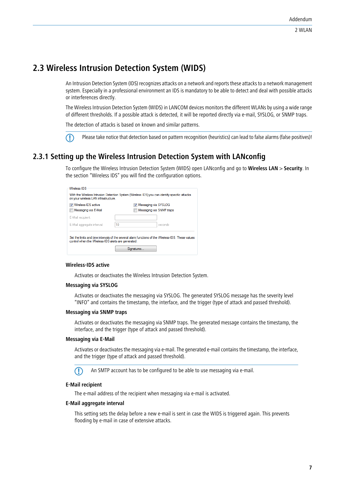# <span id="page-6-0"></span>**2.3 Wireless Intrusion Detection System (WIDS)**

An Intrusion Detection System (IDS) recognizes attacks on a network and reports these attacks to a network management system. Especially in a professional environment an IDS is mandatory to be able to detect and deal with possible attacks or interferences directly.

The Wireless Intrusion Detection System (WIDS) in LANCOM devices monitors the different WLANs by using a wide range of different thresholds. If a possible attack is detected, it will be reported directly via e-mail, SYSLOG, or SNMP traps.

The detection of attacks is based on known and similar patterns.

Flease take notice that detection based on pattern recognition (heuristics) can lead to false alarms (false positives)!

# <span id="page-6-1"></span>**2.3.1 Setting up the Wireless Intrusion Detection System with LANconfig**

To configure the Wireless Intrusion Detection System (WIDS) open LANconfig and go to **Wireless LAN** > **Security**. In the section "Wireless IDS" you will find the configuration options.

| <b>V</b> Wireless-IDS active | <b>V</b> Messaging via SYSLOG |  |  |
|------------------------------|-------------------------------|--|--|
| Messaging via E-Mail         | Messaging via SNMP traps      |  |  |
| E-Mail recipient:            |                               |  |  |
| E-Mail aggregate interval:   | 10<br>seconds                 |  |  |

# **Wireless-IDS active**

Activates or deactivates the Wireless Intrusion Detection System.

# **Messaging via SYSLOG**

Activates or deactivates the messaging via SYSLOG. The generated SYSLOG message has the severity level "INFO" and contains the timestamp, the interface, and the trigger (type of attack and passed threshold).

#### **Messaging via SNMP traps**

Activates or deactivates the messaging via SNMP traps. The generated message contains the timestamp, the interface, and the trigger (type of attack and passed threshold).

#### **Messaging via E-Mail**

Activates or deactivates the messaging via e-mail. The generated e-mail contains the timestamp, the interface, and the trigger (type of attack and passed threshold).

**(1)** An SMTP account has to be configured to be able to use messaging via e-mail.

# **E-Mail recipient**

The e-mail address of the recipient when messaging via e-mail is activated.

# **E-Mail aggregate interval**

This setting sets the delay before a new e-mail is sent in case the WIDS is triggered again. This prevents flooding by e-mail in case of extensive attacks.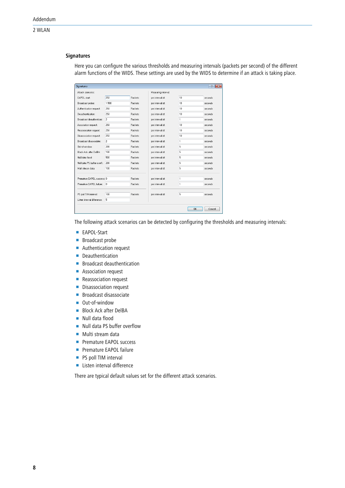# **Signatures**

Here you can configure the various thresholds and measuring intervals (packets per second) of the different alarm functions of the WIDS. These settings are used by the WIDS to determine if an attack is taking place.

| <b>Signatures</b>              |                |         |                     |              | $\overline{r}$<br>$-x$ |
|--------------------------------|----------------|---------|---------------------|--------------|------------------------|
| Attack szenarios:              |                |         | Measuring interval: |              |                        |
| EAPOL start:                   | 250            | Packets | per interval of:    | 10           | seconds                |
| Broadcast probe:               | 1.500          | Packets | per interval of:    | 10           | seconds                |
| Authentication request:        | 250            | Packets | per interval of:    | 10           | seconds                |
| Deauthentication:              | 250            | Packets | per interval of:    | 10           | seconds                |
| Broadcast deauthenticat.:      | $\overline{c}$ | Packets | per interval of:    | $\mathbf{1}$ | seconds                |
| Association request:           | 250            | Packets | per interval of:    | 10           | seconds                |
| Reassociation request:         | 250            | Packets | per interval of:    | 10           | seconds                |
| Disassociation request:        | 250            | Packets | per interval of:    | 10           | seconds                |
| <b>Broadcast disassociate:</b> | $\overline{c}$ | Packets | per interval of:    | $\mathbf{1}$ | seconds                |
| Dut-of-window:                 | 200            | Packets | per interval of:    | 5            | seconds                |
| Block Ack after DelBA:         | 100            | Packets | per interval of:    | 5            | seconds                |
| Null data flood:               | 500            | Packets | per interval of:    | 5            | seconds                |
| Null data PS buffer overfl.:   | 200            | Packets | per interval of:    | 5            | seconds                |
| Multi stream data:             | 100            | Packets | per interval of:    | 5            | seconds                |
| Premature EAPOL success: 0     |                | Packets | per interval of:    | 1            | seconds                |
| Premature EAPOL failure:       | 0              | Packets | per interval of:    | 1            | seconds                |
| PS poll TIM interval:          | 100            | Packets | per interval of:    | 5            | seconds                |
| Listen interval difference:    | 5              |         |                     |              |                        |
|                                |                |         |                     | 0K           | Cancel                 |

The following attack scenarios can be detected by configuring the thresholds and measuring intervals:

- EAPOL-Start
- **Broadcast probe**
- **Authentication request**
- **Deauthentication**
- **E** Broadcast deauthentication
- **Association request**
- **Reassociation request**
- **Disassociation request**
- **Broadcast disassociate**
- Out-of-window
- **Block Ack after DelBA**
- **Null data flood**
- Null data PS buffer overflow
- $\blacksquare$  Multi stream data
- **Premature FAPOL success**
- **Premature EAPOL failure**
- **PS poll TIM interval**
- **Listen interval difference**

There are typical default values set for the different attack scenarios.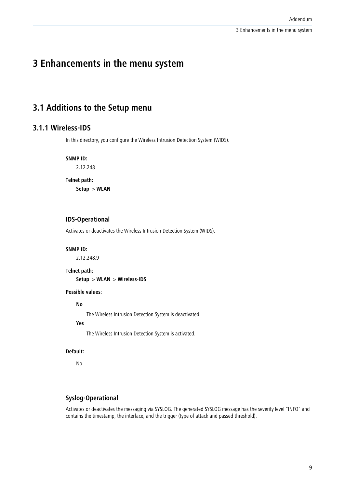# <span id="page-8-2"></span><span id="page-8-1"></span><span id="page-8-0"></span>**3.1 Additions to the Setup menu**

# **3.1.1 Wireless-IDS**

In this directory, you configure the Wireless Intrusion Detection System (WIDS).

**SNMP ID:**

2.12.248

#### **Telnet path:**

**Setup** > **WLAN**

# **IDS-Operational**

Activates or deactivates the Wireless Intrusion Detection System (WIDS).

#### **SNMP ID:**

2.12.248.9

**Telnet path:**

**Setup** > **WLAN** > **Wireless-IDS**

# **Possible values:**

**No**

The Wireless Intrusion Detection System is deactivated.

**Yes**

The Wireless Intrusion Detection System is activated.

# **Default:**

No

# **Syslog-Operational**

Activates or deactivates the messaging via SYSLOG. The generated SYSLOG message has the severity level "INFO" and contains the timestamp, the interface, and the trigger (type of attack and passed threshold).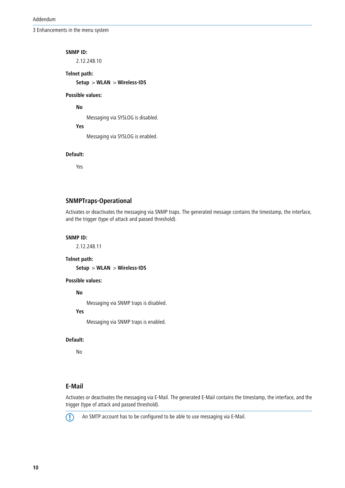#### **SNMP ID:**

2.12.248.10

# **Telnet path:**

**Setup** > **WLAN** > **Wireless-IDS**

# **Possible values:**

**No**

Messaging via SYSLOG is disabled.

**Yes**

Messaging via SYSLOG is enabled.

#### **Default:**

Yes

# **SNMPTraps-Operational**

Activates or deactivates the messaging via SNMP traps. The generated message contains the timestamp, the interface, and the trigger (type of attack and passed threshold).

# **SNMP ID:**

2.12.248.11

#### **Telnet path:**

**Setup** > **WLAN** > **Wireless-IDS**

# **Possible values:**

**No**

Messaging via SNMP traps is disabled.

# **Yes**

Messaging via SNMP traps is enabled.

#### **Default:**

No

# **E-Mail**

Activates or deactivates the messaging via E-Mail. The generated E-Mail contains the timestamp, the interface, and the trigger (type of attack and passed threshold).



**(1)** An SMTP account has to be configured to be able to use messaging via E-Mail.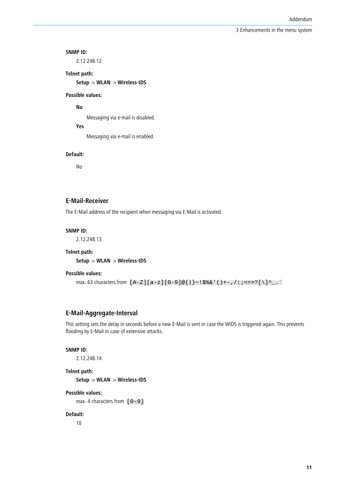#### **SNMP ID:**

2.12.248.12

# **Telnet path:**

**Setup** > **WLAN** > **Wireless-IDS**

# **Possible values:**

**No**

Messaging via e-mail is disabled.

# **Yes**

Messaging via e-mail is enabled.

#### **Default:**

No

# **E-Mail-Receiver**

The E-Mail address of the recipient when messaging via E-Mail is activated.

# **SNMP ID:**

2.12.248.13

#### **Telnet path:**

**Setup** > **WLAN** > **Wireless-IDS**

#### **Possible values:**

max. 63 characters from [A-Z][a-z][0-9]@{|}~!\$%&'()+-,/:;<=>?[\]^\_.`

# **E-Mail-Aggregate-Interval**

This setting sets the delay in seconds before a new E-Mail is sent in case the WIDS is triggered again. This prevents flooding by E-Mail in case of extensive attacks.

#### **SNMP ID:**

2.12.248.14

# **Telnet path:**

**Setup** > **WLAN** > **Wireless-IDS**

# **Possible values:**

max. 4 characters from  $[0-9]$ 

#### **Default:**

10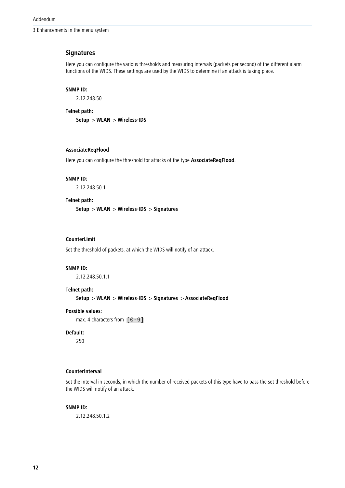# **Signatures**

Here you can configure the various thresholds and measuring intervals (packets per second) of the different alarm functions of the WIDS. These settings are used by the WIDS to determine if an attack is taking place.

#### **SNMP ID:**

2.12.248.50

**Telnet path:**

**Setup** > **WLAN** > **Wireless-IDS**

# **AssociateReqFlood**

Here you can configure the threshold for attacks of the type **AssociateReqFlood**.

#### **SNMP ID:**

2.12.248.50.1

#### **Telnet path:**

**Setup** > **WLAN** > **Wireless-IDS** > **Signatures**

# **CounterLimit**

Set the threshold of packets, at which the WIDS will notify of an attack.

#### **SNMP ID:**

2.12.248.50.1.1

# **Telnet path:**

**Setup** > **WLAN** > **Wireless-IDS** > **Signatures** > **AssociateReqFlood**

#### **Possible values:**

max. 4 characters from  $[0-9]$ 

# **Default:**

250

# **CounterInterval**

Set the interval in seconds, in which the number of received packets of this type have to pass the set threshold before the WIDS will notify of an attack.

# **SNMP ID:**

2.12.248.50.1.2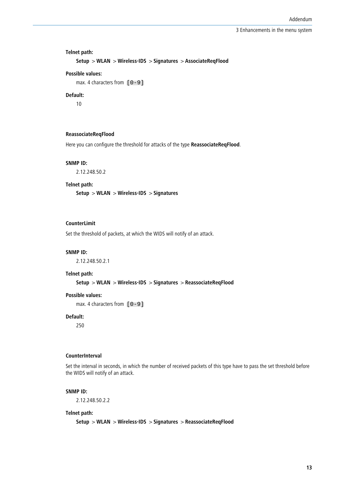# **Telnet path:**

```
Setup > WLAN > Wireless-IDS > Signatures > AssociateReqFlood
```
#### **Possible values:**

max. 4 characters from  $[0-9]$ 

# **Default:**

10

#### **ReassociateReqFlood**

Here you can configure the threshold for attacks of the type **ReassociateReqFlood**.

# **SNMP ID:**

2.12.248.50.2

#### **Telnet path:**

**Setup** > **WLAN** > **Wireless-IDS** > **Signatures**

# **CounterLimit**

Set the threshold of packets, at which the WIDS will notify of an attack.

#### **SNMP ID:**

2.12.248.50.2.1

#### **Telnet path:**

**Setup** > **WLAN** > **Wireless-IDS** > **Signatures** > **ReassociateReqFlood**

# **Possible values:**

max. 4 characters from  $[0-9]$ 

# **Default:**

250

# **CounterInterval**

Set the interval in seconds, in which the number of received packets of this type have to pass the set threshold before the WIDS will notify of an attack.

#### **SNMP ID:**

2.12.248.50.2.2

#### **Telnet path:**

**Setup** > **WLAN** > **Wireless-IDS** > **Signatures** > **ReassociateReqFlood**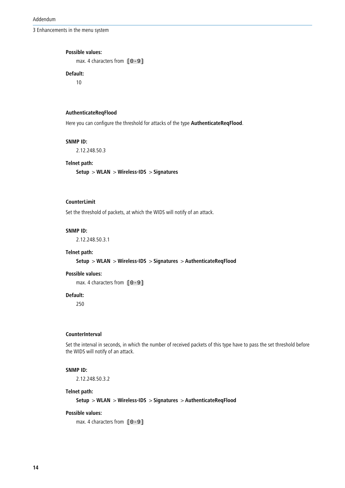Addendum

3 Enhancements in the menu system

#### **Possible values:**

max. 4 characters from  $[0-9]$ 

# **Default:**

10

# **AuthenticateReqFlood**

Here you can configure the threshold for attacks of the type **AuthenticateReqFlood**.

# **SNMP ID:**

2.12.248.50.3

# **Telnet path:**

**Setup** > **WLAN** > **Wireless-IDS** > **Signatures**

# **CounterLimit**

Set the threshold of packets, at which the WIDS will notify of an attack.

# **SNMP ID:**

2.12.248.50.3.1

# **Telnet path:**

**Setup** > **WLAN** > **Wireless-IDS** > **Signatures** > **AuthenticateReqFlood**

#### **Possible values:**

max. 4 characters from  $[0-9]$ 

# **Default:**

250

# **CounterInterval**

Set the interval in seconds, in which the number of received packets of this type have to pass the set threshold before the WIDS will notify of an attack.

#### **SNMP ID:**

2.12.248.50.3.2

# **Telnet path:**

**Setup** > **WLAN** > **Wireless-IDS** > **Signatures** > **AuthenticateReqFlood**

#### **Possible values:**

max. 4 characters from  $[0-9]$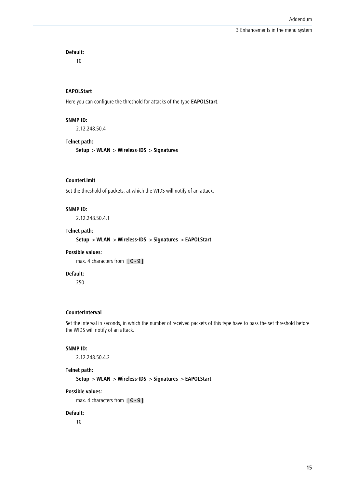**Default:**

10

# **EAPOLStart**

Here you can configure the threshold for attacks of the type **EAPOLStart**.

#### **SNMP ID:**

2.12.248.50.4

# **Telnet path:**

**Setup** > **WLAN** > **Wireless-IDS** > **Signatures**

# **CounterLimit**

Set the threshold of packets, at which the WIDS will notify of an attack.

#### **SNMP ID:**

2.12.248.50.4.1

# **Telnet path:**

**Setup** > **WLAN** > **Wireless-IDS** > **Signatures** > **EAPOLStart**

#### **Possible values:**

max. 4 characters from  $[0-9]$ 

# **Default:**

250

#### **CounterInterval**

Set the interval in seconds, in which the number of received packets of this type have to pass the set threshold before the WIDS will notify of an attack.

# **SNMP ID:**

2.12.248.50.4.2

#### **Telnet path:**

**Setup** > **WLAN** > **Wireless-IDS** > **Signatures** > **EAPOLStart**

# **Possible values:**

max. 4 characters from  $[0-9]$ 

#### **Default:**

10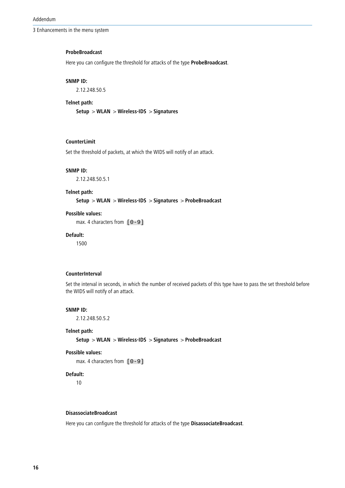#### **ProbeBroadcast**

Here you can configure the threshold for attacks of the type **ProbeBroadcast**.

#### **SNMP ID:**

2.12.248.50.5

#### **Telnet path:**

**Setup** > **WLAN** > **Wireless-IDS** > **Signatures**

# **CounterLimit**

Set the threshold of packets, at which the WIDS will notify of an attack.

#### **SNMP ID:**

2.12.248.50.5.1

#### **Telnet path:**

**Setup** > **WLAN** > **Wireless-IDS** > **Signatures** > **ProbeBroadcast**

# **Possible values:**

max. 4 characters from  $[0-9]$ 

# **Default:**

1500

#### **CounterInterval**

Set the interval in seconds, in which the number of received packets of this type have to pass the set threshold before the WIDS will notify of an attack.

# **SNMP ID:**

2.12.248.50.5.2

#### **Telnet path:**

**Setup** > **WLAN** > **Wireless-IDS** > **Signatures** > **ProbeBroadcast**

# **Possible values:**

max. 4 characters from  $[0-9]$ 

#### **Default:**

10

#### **DisassociateBroadcast**

Here you can configure the threshold for attacks of the type **DisassociateBroadcast**.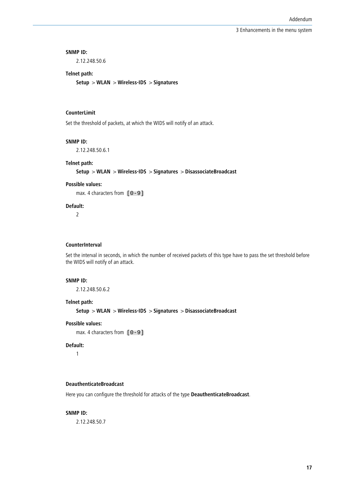#### **SNMP ID:**

2.12.248.50.6

# **Telnet path:**

**Setup** > **WLAN** > **Wireless-IDS** > **Signatures**

# **CounterLimit**

Set the threshold of packets, at which the WIDS will notify of an attack.

#### **SNMP ID:**

2.12.248.50.6.1

# **Telnet path:**

**Setup** > **WLAN** > **Wireless-IDS** > **Signatures** > **DisassociateBroadcast**

# **Possible values:**

max. 4 characters from  $[0-9]$ 

# **Default:**

2

#### **CounterInterval**

Set the interval in seconds, in which the number of received packets of this type have to pass the set threshold before the WIDS will notify of an attack.

#### **SNMP ID:**

2.12.248.50.6.2

# **Telnet path:**

**Setup** > **WLAN** > **Wireless-IDS** > **Signatures** > **DisassociateBroadcast**

#### **Possible values:**

max. 4 characters from  $[0-9]$ 

# **Default:**

1

# **DeauthenticateBroadcast**

Here you can configure the threshold for attacks of the type **DeauthenticateBroadcast**.

#### **SNMP ID:**

2.12.248.50.7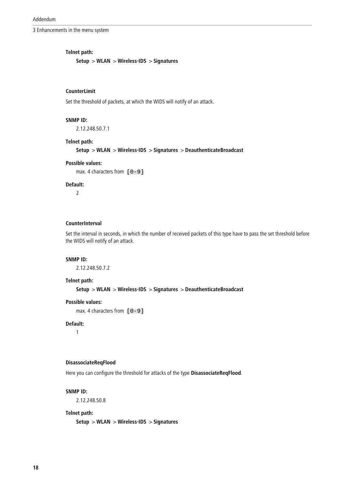Addendum

3 Enhancements in the menu system

# **Telnet path:**

**Setup** > **WLAN** > **Wireless-IDS** > **Signatures**

# **CounterLimit**

Set the threshold of packets, at which the WIDS will notify of an attack.

#### **SNMP ID:**

2.12.248.50.7.1

#### **Telnet path:**

**Setup** > **WLAN** > **Wireless-IDS** > **Signatures** > **DeauthenticateBroadcast**

# **Possible values:**

max. 4 characters from  $[0-9]$ 

# **Default:**

2

# **CounterInterval**

Set the interval in seconds, in which the number of received packets of this type have to pass the set threshold before the WIDS will notify of an attack.

#### **SNMP ID:**

2.12.248.50.7.2

#### **Telnet path:**

**Setup** > **WLAN** > **Wireless-IDS** > **Signatures** > **DeauthenticateBroadcast**

# **Possible values:**

max. 4 characters from  $[0-9]$ 

## **Default:**

1

#### **DisassociateReqFlood**

Here you can configure the threshold for attacks of the type **DisassociateReqFlood**.

#### **SNMP ID:**

2.12.248.50.8

#### **Telnet path:**

**Setup** > **WLAN** > **Wireless-IDS** > **Signatures**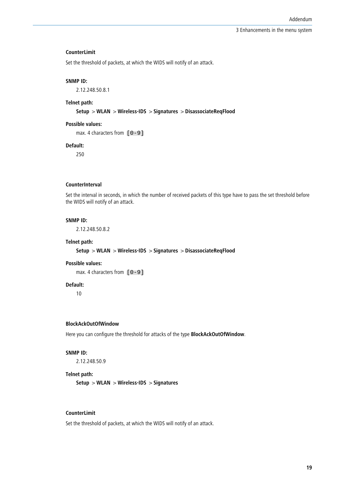#### **CounterLimit**

Set the threshold of packets, at which the WIDS will notify of an attack.

#### **SNMP ID:**

2.12.248.50.8.1

#### **Telnet path:**

**Setup** > **WLAN** > **Wireless-IDS** > **Signatures** > **DisassociateReqFlood**

# **Possible values:**

max. 4 characters from  $[0-9]$ 

# **Default:**

250

# **CounterInterval**

Set the interval in seconds, in which the number of received packets of this type have to pass the set threshold before the WIDS will notify of an attack.

# **SNMP ID:**

2.12.248.50.8.2

#### **Telnet path:**

#### **Setup** > **WLAN** > **Wireless-IDS** > **Signatures** > **DisassociateReqFlood**

# **Possible values:**

max. 4 characters from  $[0-9]$ 

#### **Default:**

10

# **BlockAckOutOfWindow**

Here you can configure the threshold for attacks of the type **BlockAckOutOfWindow**.

#### **SNMP ID:**

2.12.248.50.9

#### **Telnet path:**

**Setup** > **WLAN** > **Wireless-IDS** > **Signatures**

#### **CounterLimit**

Set the threshold of packets, at which the WIDS will notify of an attack.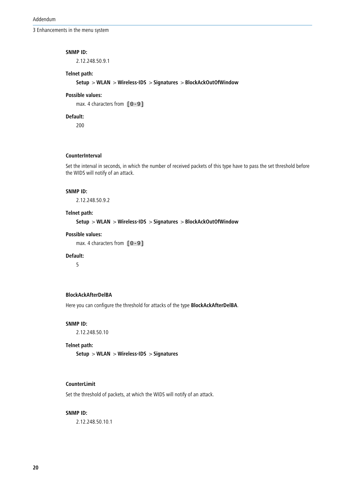#### **SNMP ID:**

2.12.248.50.9.1

# **Telnet path:**

**Setup** > **WLAN** > **Wireless-IDS** > **Signatures** > **BlockAckOutOfWindow**

# **Possible values:**

max. 4 characters from  $[0-9]$ 

# **Default:**

200

# **CounterInterval**

Set the interval in seconds, in which the number of received packets of this type have to pass the set threshold before the WIDS will notify of an attack.

#### **SNMP ID:**

2.12.248.50.9.2

#### **Telnet path:**

**Setup** > **WLAN** > **Wireless-IDS** > **Signatures** > **BlockAckOutOfWindow**

#### **Possible values:**

max. 4 characters from  $[0-9]$ 

# **Default:**

5

# **BlockAckAfterDelBA**

Here you can configure the threshold for attacks of the type **BlockAckAfterDelBA**.

#### **SNMP ID:**

2.12.248.50.10

# **Telnet path:**

**Setup** > **WLAN** > **Wireless-IDS** > **Signatures**

# **CounterLimit**

Set the threshold of packets, at which the WIDS will notify of an attack.

#### **SNMP ID:**

2.12.248.50.10.1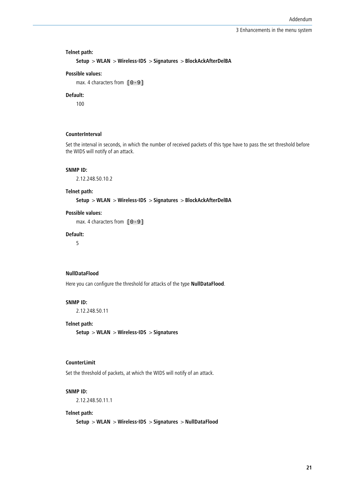# **Telnet path:**

```
Setup > WLAN > Wireless-IDS > Signatures > BlockAckAfterDelBA
```
# **Possible values:**

max. 4 characters from  $[0-9]$ 

# **Default:**

100

# **CounterInterval**

Set the interval in seconds, in which the number of received packets of this type have to pass the set threshold before the WIDS will notify of an attack.

#### **SNMP ID:**

2.12.248.50.10.2

#### **Telnet path:**

**Setup** > **WLAN** > **Wireless-IDS** > **Signatures** > **BlockAckAfterDelBA**

# **Possible values:**

max. 4 characters from  $[0-9]$ 

#### **Default:**

5

#### **NullDataFlood**

Here you can configure the threshold for attacks of the type **NullDataFlood**.

# **SNMP ID:**

2.12.248.50.11

#### **Telnet path:**

**Setup** > **WLAN** > **Wireless-IDS** > **Signatures**

#### **CounterLimit**

Set the threshold of packets, at which the WIDS will notify of an attack.

#### **SNMP ID:**

2.12.248.50.11.1

#### **Telnet path:**

**Setup** > **WLAN** > **Wireless-IDS** > **Signatures** > **NullDataFlood**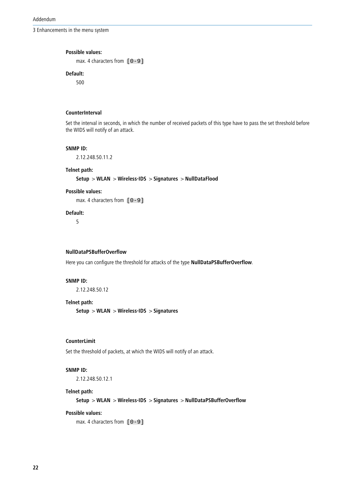Addendum

3 Enhancements in the menu system

#### **Possible values:**

max. 4 characters from  $[0-9]$ 

# **Default:**

500

# **CounterInterval**

Set the interval in seconds, in which the number of received packets of this type have to pass the set threshold before the WIDS will notify of an attack.

# **SNMP ID:**

2.12.248.50.11.2

# **Telnet path:**

**Setup** > **WLAN** > **Wireless-IDS** > **Signatures** > **NullDataFlood**

#### **Possible values:**

max. 4 characters from  $[0-9]$ 

# **Default:**

5

# **NullDataPSBufferOverflow**

Here you can configure the threshold for attacks of the type **NullDataPSBufferOverflow**.

# **SNMP ID:**

2.12.248.50.12

# **Telnet path:**

**Setup** > **WLAN** > **Wireless-IDS** > **Signatures**

# **CounterLimit**

Set the threshold of packets, at which the WIDS will notify of an attack.

# **SNMP ID:**

2.12.248.50.12.1

# **Telnet path:**

**Setup** > **WLAN** > **Wireless-IDS** > **Signatures** > **NullDataPSBufferOverflow**

# **Possible values:**

max. 4 characters from  $[0-9]$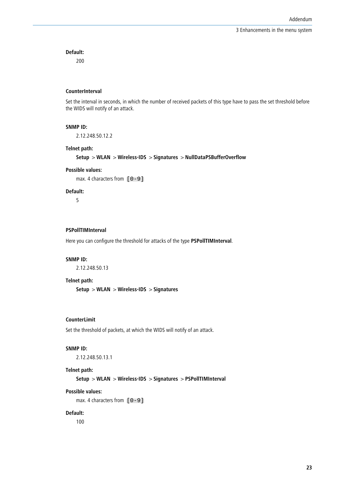# **Default:**

200

#### **CounterInterval**

Set the interval in seconds, in which the number of received packets of this type have to pass the set threshold before the WIDS will notify of an attack.

#### **SNMP ID:**

2.12.248.50.12.2

# **Telnet path:**

**Setup** > **WLAN** > **Wireless-IDS** > **Signatures** > **NullDataPSBufferOverflow**

# **Possible values:**

max. 4 characters from  $[0-9]$ 

#### **Default:**

5

# **PSPollTIMInterval**

Here you can configure the threshold for attacks of the type **PSPollTIMInterval**.

#### **SNMP ID:**

2.12.248.50.13

#### **Telnet path:**

**Setup** > **WLAN** > **Wireless-IDS** > **Signatures**

#### **CounterLimit**

Set the threshold of packets, at which the WIDS will notify of an attack.

# **SNMP ID:**

2.12.248.50.13.1

#### **Telnet path:**

**Setup** > **WLAN** > **Wireless-IDS** > **Signatures** > **PSPollTIMInterval**

# **Possible values:**

max. 4 characters from  $[0-9]$ 

#### **Default:**

100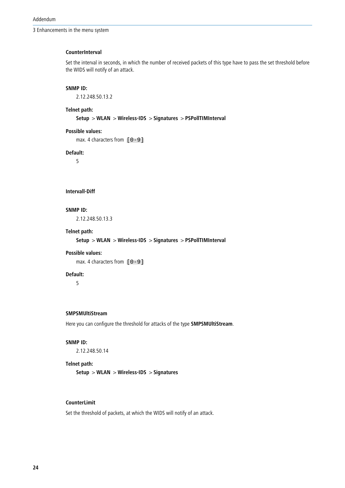#### **CounterInterval**

Set the interval in seconds, in which the number of received packets of this type have to pass the set threshold before the WIDS will notify of an attack.

# **SNMP ID:**

2.12.248.50.13.2

# **Telnet path:**

**Setup** > **WLAN** > **Wireless-IDS** > **Signatures** > **PSPollTIMInterval**

# **Possible values:**

max. 4 characters from  $[0-9]$ 

#### **Default:**

5

# **Intervall-Diff**

# **SNMP ID:**

2.12.248.50.13.3

# **Telnet path:**

**Setup** > **WLAN** > **Wireless-IDS** > **Signatures** > **PSPollTIMInterval**

#### **Possible values:**

max. 4 characters from  $[0-9]$ 

#### **Default:**

5

#### **SMPSMUltiStream**

Here you can configure the threshold for attacks of the type **SMPSMUltiStream**.

# **SNMP ID:**

2.12.248.50.14

#### **Telnet path:**

**Setup** > **WLAN** > **Wireless-IDS** > **Signatures**

# **CounterLimit**

Set the threshold of packets, at which the WIDS will notify of an attack.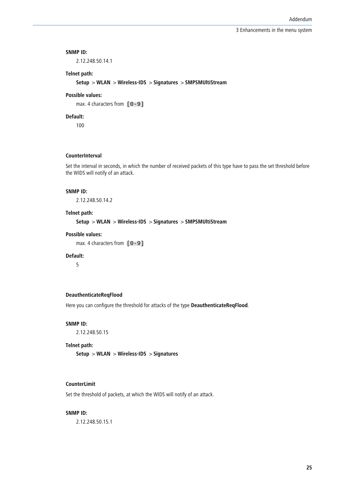#### **SNMP ID:**

2.12.248.50.14.1

# **Telnet path:**

**Setup** > **WLAN** > **Wireless-IDS** > **Signatures** > **SMPSMUltiStream**

# **Possible values:**

max. 4 characters from  $[0-9]$ 

# **Default:**

100

# **CounterInterval**

Set the interval in seconds, in which the number of received packets of this type have to pass the set threshold before the WIDS will notify of an attack.

#### **SNMP ID:**

2.12.248.50.14.2

#### **Telnet path:**

**Setup** > **WLAN** > **Wireless-IDS** > **Signatures** > **SMPSMUltiStream**

#### **Possible values:**

max. 4 characters from  $[0-9]$ 

# **Default:**

5

# **DeauthenticateReqFlood**

Here you can configure the threshold for attacks of the type **DeauthenticateReqFlood**.

#### **SNMP ID:**

2.12.248.50.15

# **Telnet path:**

**Setup** > **WLAN** > **Wireless-IDS** > **Signatures**

# **CounterLimit**

Set the threshold of packets, at which the WIDS will notify of an attack.

#### **SNMP ID:**

2.12.248.50.15.1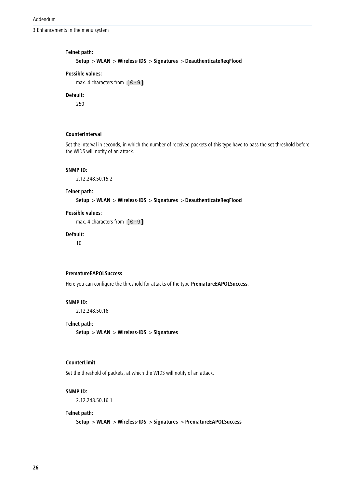Addendum

3 Enhancements in the menu system

# **Telnet path:**

```
Setup > WLAN > Wireless-IDS > Signatures > DeauthenticateReqFlood
```
#### **Possible values:**

max. 4 characters from  $[0-9]$ 

# **Default:**

250

# **CounterInterval**

Set the interval in seconds, in which the number of received packets of this type have to pass the set threshold before the WIDS will notify of an attack.

#### **SNMP ID:**

2.12.248.50.15.2

# **Telnet path:**

**Setup** > **WLAN** > **Wireless-IDS** > **Signatures** > **DeauthenticateReqFlood**

# **Possible values:**

max. 4 characters from  $[0-9]$ 

#### **Default:**

10

#### **PrematureEAPOLSuccess**

Here you can configure the threshold for attacks of the type **PrematureEAPOLSuccess**.

# **SNMP ID:**

2.12.248.50.16

#### **Telnet path:**

**Setup** > **WLAN** > **Wireless-IDS** > **Signatures**

#### **CounterLimit**

Set the threshold of packets, at which the WIDS will notify of an attack.

#### **SNMP ID:**

2.12.248.50.16.1

#### **Telnet path:**

**Setup** > **WLAN** > **Wireless-IDS** > **Signatures** > **PrematureEAPOLSuccess**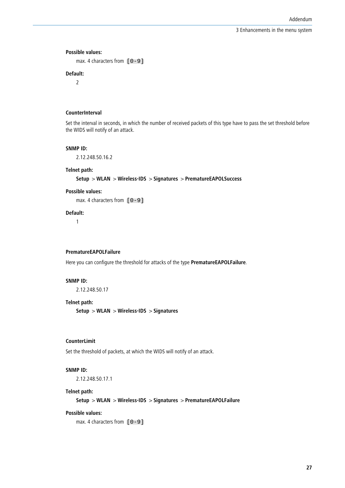#### **Possible values:**

max. 4 characters from  $[0-9]$ 

# **Default:**

2

# **CounterInterval**

Set the interval in seconds, in which the number of received packets of this type have to pass the set threshold before the WIDS will notify of an attack.

#### **SNMP ID:**

2.12.248.50.16.2

#### **Telnet path:**

**Setup** > **WLAN** > **Wireless-IDS** > **Signatures** > **PrematureEAPOLSuccess**

#### **Possible values:**

max. 4 characters from  $[0-9]$ 

# **Default:**

1

#### **PrematureEAPOLFailure**

Here you can configure the threshold for attacks of the type **PrematureEAPOLFailure**.

# **SNMP ID:**

2.12.248.50.17

# **Telnet path:**

**Setup** > **WLAN** > **Wireless-IDS** > **Signatures**

# **CounterLimit**

Set the threshold of packets, at which the WIDS will notify of an attack.

# **SNMP ID:**

2.12.248.50.17.1

# **Telnet path:**

**Setup** > **WLAN** > **Wireless-IDS** > **Signatures** > **PrematureEAPOLFailure**

#### **Possible values:**

max. 4 characters from  $[0-9]$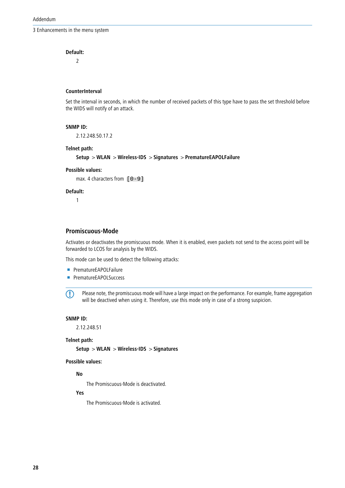# **Default:**

2

#### **CounterInterval**

Set the interval in seconds, in which the number of received packets of this type have to pass the set threshold before the WIDS will notify of an attack.

# **SNMP ID:**

2.12.248.50.17.2

# **Telnet path:**

# **Setup** > **WLAN** > **Wireless-IDS** > **Signatures** > **PrematureEAPOLFailure**

#### **Possible values:**

max. 4 characters from  $[0-9]$ 

#### **Default:**

1

# **Promiscuous-Mode**

Activates or deactivates the promiscuous mode. When it is enabled, even packets not send to the access point will be forwarded to LCOS for analysis by the WIDS.

This mode can be used to detect the following attacks:

- **PrematureEAPOLFailure**
- **PrematureEAPOLSuccess**

**(1)** Please note, the promiscuous mode will have a large impact on the performance. For example, frame aggregation will be deactived when using it. Therefore, use this mode only in case of a strong suspicion.

#### **SNMP ID:**

2.12.248.51

# **Telnet path:**

**Setup** > **WLAN** > **Wireless-IDS** > **Signatures**

# **Possible values:**

**No**

The Promiscuous-Mode is deactivated.

# **Yes**

The Promiscuous-Mode is activated.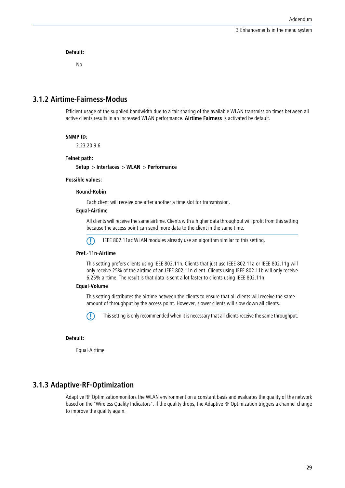**Default:**

No

# <span id="page-28-0"></span>**3.1.2 Airtime-Fairness-Modus**

Efficient usage of the supplied bandwidth due to a fair sharing of the available WLAN transmission times between all active clients results in an increased WLAN performance. **Airtime Fairness** is activated by default.

## **SNMP ID:**

2.23.20.9.6

#### **Telnet path:**

**Setup** > **Interfaces** > **WLAN** > **Performance**

#### **Possible values:**

#### **Round-Robin**

Each client will receive one after another a time slot for transmission.

#### **Equal-Airtime**

All clients will receive the same airtime. Clients with a higher data throughput will profit from this setting because the access point can send more data to the client in the same time.

5 IEEE 802.11ac WLAN modules already use an algorithm similar to this setting.

#### **Pref.-11n-Airtime**

This setting prefers clients using IEEE 802.11n. Clients that just use IEEE 802.11a or IEEE 802.11g will only receive 25% of the airtime of an IEEE 802.11n client. Clients using IEEE 802.11b will only receive 6.25% airtime. The result is that data is sent a lot faster to clients using IEEE 802.11n.

#### **Equal-Volume**

This setting distributes the airtime between the clients to ensure that all clients will receive the same amount of throughput by the access point. However, slower clients will slow down all clients.



**This setting is only recommended when it is necessary that all clients receive the same throughput.** 

#### <span id="page-28-1"></span>**Default:**

Equal-Airtime

# **3.1.3 Adaptive-RF-Optimization**

Adaptive RF Optimizationmonitors the WLAN environment on a constant basis and evaluates the quality of the network based on the "Wireless Quality Indicators". If the quality drops, the Adaptive RF Optimization triggers a channel change to improve the quality again.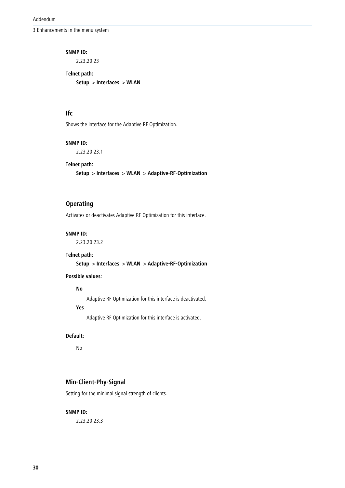#### **SNMP ID:**

2.23.20.23

**Telnet path: Setup** > **Interfaces** > **WLAN**

# **Ifc**

Shows the interface for the Adaptive RF Optimization.

# **SNMP ID:**

2.23.20.23.1

# **Telnet path:**

**Setup** > **Interfaces** > **WLAN** > **Adaptive-RF-Optimization**

# **Operating**

Activates or deactivates Adaptive RF Optimization for this interface.

# **SNMP ID:**

2.23.20.23.2

## **Telnet path:**

**Setup** > **Interfaces** > **WLAN** > **Adaptive-RF-Optimization**

# **Possible values:**

# **No**

Adaptive RF Optimization for this interface is deactivated.

# **Yes**

Adaptive RF Optimization for this interface is activated.

# **Default:**

No

# **Min-Client-Phy-Signal**

Setting for the minimal signal strength of clients.

# **SNMP ID:**

2.23.20.23.3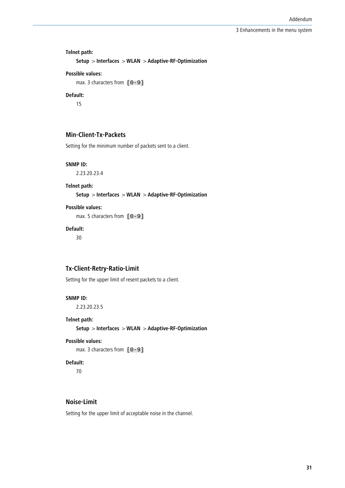# **Telnet path: Setup** > **Interfaces** > **WLAN** > **Adaptive-RF-Optimization Possible values:**

```
max. 3 characters from [0-9]
```
# **Default:**

15

# **Min-Client-Tx-Packets**

Setting for the minimum number of packets sent to a client.

#### **SNMP ID:**

2.23.20.23.4

# **Telnet path:**

**Setup** > **Interfaces** > **WLAN** > **Adaptive-RF-Optimization**

# **Possible values:**

max. 5 characters from  $[0-9]$ 

# **Default:**

30

# **Tx-Client-Retry-Ratio-Limit**

Setting for the upper limit of resent packets to a client.

# **SNMP ID:**

2.23.20.23.5

# **Telnet path:**

**Setup** > **Interfaces** > **WLAN** > **Adaptive-RF-Optimization**

# **Possible values:**

max. 3 characters from  $[0-9]$ 

#### **Default:**

70

# **Noise-Limit**

Setting for the upper limit of acceptable noise in the channel.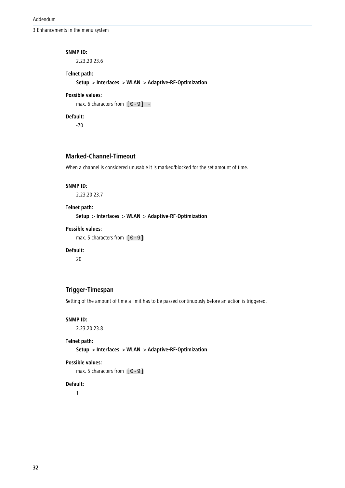#### **SNMP ID:**

2.23.20.23.6

# **Telnet path:**

**Setup** > **Interfaces** > **WLAN** > **Adaptive-RF-Optimization**

# **Possible values:**

max. 6 characters from  $[0-9]$  -

# **Default:**

-70

# **Marked-Channel-Timeout**

When a channel is considered unusable it is marked/blocked for the set amount of time.

#### **SNMP ID:**

2.23.20.23.7

# **Telnet path:**

**Setup** > **Interfaces** > **WLAN** > **Adaptive-RF-Optimization**

# **Possible values:**

max. 5 characters from  $[0-9]$ 

# **Default:**

20

# **Trigger-Timespan**

Setting of the amount of time a limit has to be passed continuously before an action is triggered.

# **SNMP ID:**

2.23.20.23.8

# **Telnet path:**

**Setup** > **Interfaces** > **WLAN** > **Adaptive-RF-Optimization**

# **Possible values:**

max. 5 characters from  $[0-9]$ 

#### **Default:**

1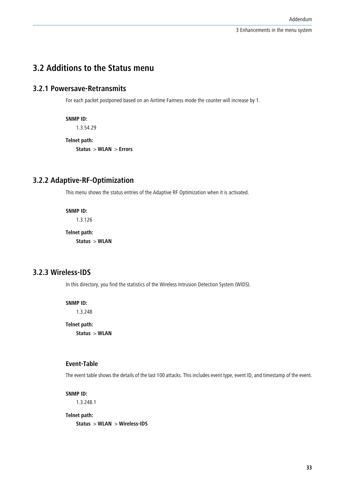# <span id="page-32-0"></span>**3.2 Additions to the Status menu**

# <span id="page-32-1"></span>**3.2.1 Powersave-Retransmits**

For each packet postponed based on an Airtime Fairness mode the counter will increase by 1.

**SNMP ID:**

1.3.54.29

**Telnet path:**

**Status** > **WLAN** > **Errors**

# <span id="page-32-2"></span>**3.2.2 Adaptive-RF-Optimization**

This menu shows the status entries of the Adaptive RF Optimization when it is activated.

**SNMP ID:**

1.3.126

**Telnet path: Status** > **WLAN**

# <span id="page-32-3"></span>**3.2.3 Wireless-IDS**

In this directory, you find the statistics of the Wireless Intrusion Detection System (WIDS).

# **SNMP ID:**

1.3.248

**Telnet path: Status** > **WLAN**

# **Event-Table**

The event table shows the details of the last 100 attacks. This includes event type, event ID, and timestamp of the event.

**SNMP ID:**

1.3.248.1

**Telnet path: Status** > **WLAN** > **Wireless-IDS**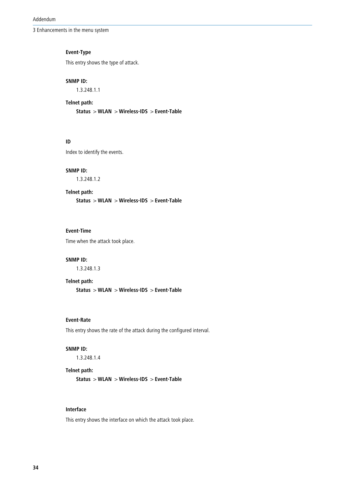Addendum

3 Enhancements in the menu system

# **Event-Type**

This entry shows the type of attack.

# **SNMP ID:**

1.3.248.1.1

# **Telnet path:**

**Status** > **WLAN** > **Wireless-IDS** > **Event-Table**

# **ID**

Index to identify the events.

#### **SNMP ID:**

1.3.248.1.2

#### **Telnet path:**

**Status** > **WLAN** > **Wireless-IDS** > **Event-Table**

# **Event-Time**

Time when the attack took place.

# **SNMP ID:**

1.3.248.1.3

#### **Telnet path:**

**Status** > **WLAN** > **Wireless-IDS** > **Event-Table**

# **Event-Rate**

This entry shows the rate of the attack during the configured interval.

# **SNMP ID:**

1.3.248.1.4

# **Telnet path:**

**Status** > **WLAN** > **Wireless-IDS** > **Event-Table**

# **Interface**

This entry shows the interface on which the attack took place.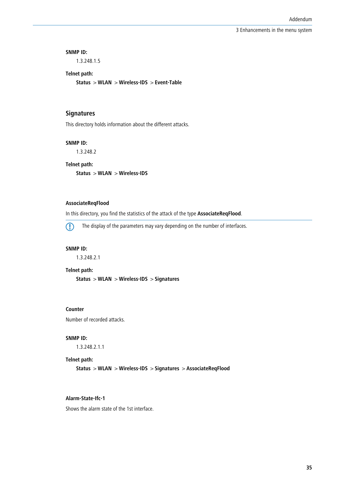#### **SNMP ID:**

1.3.248.1.5

# **Telnet path:**

**Status** > **WLAN** > **Wireless-IDS** > **Event-Table**

# **Signatures**

This directory holds information about the different attacks.

# **SNMP ID:**

1.3.248.2

# **Telnet path:**

**Status** > **WLAN** > **Wireless-IDS**

# **AssociateReqFlood**

In this directory, you find the statistics of the attack of the type **AssociateReqFlood**.

5 The display of the parameters may vary depending on the number of interfaces.

#### **SNMP ID:**

1.3.248.2.1

# **Telnet path:**

**Status** > **WLAN** > **Wireless-IDS** > **Signatures**

#### **Counter**

Number of recorded attacks.

#### **SNMP ID:**

1.3.248.2.1.1

#### **Telnet path:**

**Status** > **WLAN** > **Wireless-IDS** > **Signatures** > **AssociateReqFlood**

# **Alarm-State-Ifc-1**

Shows the alarm state of the 1st interface.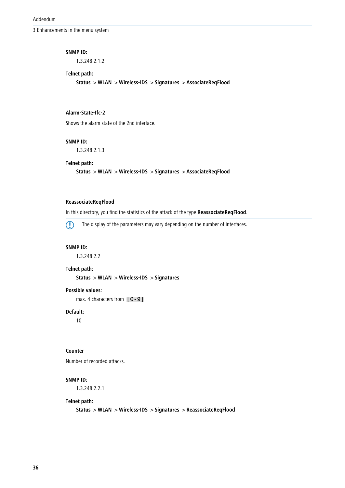#### **SNMP ID:**

1.3.248.2.1.2

# **Telnet path:**

**Status** > **WLAN** > **Wireless-IDS** > **Signatures** > **AssociateReqFlood**

# **Alarm-State-Ifc-2**

Shows the alarm state of the 2nd interface.

#### **SNMP ID:**

1.3.248.2.1.3

# **Telnet path:**

**Status** > **WLAN** > **Wireless-IDS** > **Signatures** > **AssociateReqFlood**

# **ReassociateReqFlood**

In this directory, you find the statistics of the attack of the type **ReassociateReqFlood**.

**The display of the parameters may vary depending on the number of interfaces.** 

#### **SNMP ID:**

1.3.248.2.2

#### **Telnet path:**

**Status** > **WLAN** > **Wireless-IDS** > **Signatures**

# **Possible values:**

max. 4 characters from  $[0-9]$ 

# **Default:**

10

# **Counter**

Number of recorded attacks.

# **SNMP ID:**

1.3.248.2.2.1

#### **Telnet path:**

**Status** > **WLAN** > **Wireless-IDS** > **Signatures** > **ReassociateReqFlood**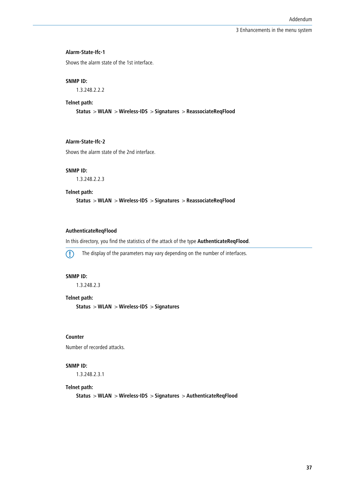#### **Alarm-State-Ifc-1**

Shows the alarm state of the 1st interface.

#### **SNMP ID:**

1.3.248.2.2.2

#### **Telnet path:**

**Status** > **WLAN** > **Wireless-IDS** > **Signatures** > **ReassociateReqFlood**

# **Alarm-State-Ifc-2**

Shows the alarm state of the 2nd interface.

#### **SNMP ID:**

1.3.248.2.2.3

**Telnet path:**

**Status** > **WLAN** > **Wireless-IDS** > **Signatures** > **ReassociateReqFlood**

# **AuthenticateReqFlood**

In this directory, you find the statistics of the attack of the type **AuthenticateReqFlood**.

**The display of the parameters may vary depending on the number of interfaces.** 

# **SNMP ID:**

1.3.248.2.3

#### **Telnet path:**

**Status** > **WLAN** > **Wireless-IDS** > **Signatures**

# **Counter**

Number of recorded attacks.

#### **SNMP ID:**

1.3.248.2.3.1

#### **Telnet path:**

**Status** > **WLAN** > **Wireless-IDS** > **Signatures** > **AuthenticateReqFlood**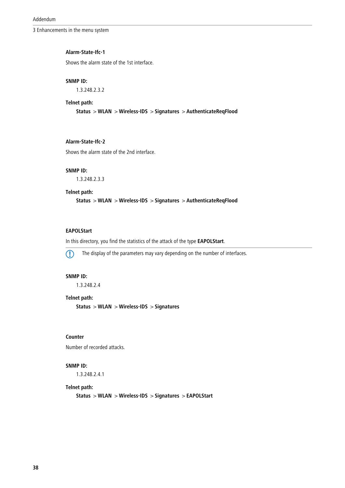#### **Alarm-State-Ifc-1**

Shows the alarm state of the 1st interface.

#### **SNMP ID:**

1.3.248.2.3.2

## **Telnet path:**

**Status** > **WLAN** > **Wireless-IDS** > **Signatures** > **AuthenticateReqFlood**

# **Alarm-State-Ifc-2**

Shows the alarm state of the 2nd interface.

#### **SNMP ID:**

1.3.248.2.3.3

#### **Telnet path:**

**Status** > **WLAN** > **Wireless-IDS** > **Signatures** > **AuthenticateReqFlood**

# **EAPOLStart**

In this directory, you find the statistics of the attack of the type **EAPOLStart**.



**The display of the parameters may vary depending on the number of interfaces.** 

# **SNMP ID:**

1.3.248.2.4

#### **Telnet path:**

**Status** > **WLAN** > **Wireless-IDS** > **Signatures**

# **Counter**

Number of recorded attacks.

# **SNMP ID:**

1.3.248.2.4.1

#### **Telnet path:**

**Status** > **WLAN** > **Wireless-IDS** > **Signatures** > **EAPOLStart**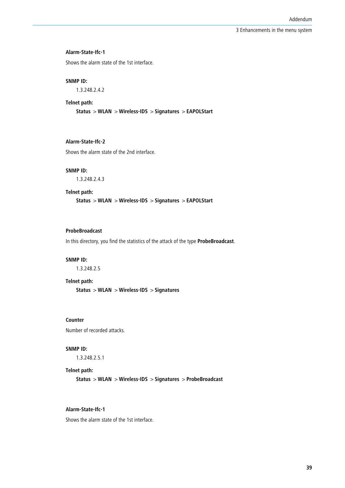#### **Alarm-State-Ifc-1**

Shows the alarm state of the 1st interface.

#### **SNMP ID:**

1.3.248.2.4.2

#### **Telnet path:**

**Status** > **WLAN** > **Wireless-IDS** > **Signatures** > **EAPOLStart**

# **Alarm-State-Ifc-2**

Shows the alarm state of the 2nd interface.

#### **SNMP ID:**

1.3.248.2.4.3

**Telnet path:**

**Status** > **WLAN** > **Wireless-IDS** > **Signatures** > **EAPOLStart**

# **ProbeBroadcast**

In this directory, you find the statistics of the attack of the type **ProbeBroadcast**.

#### **SNMP ID:**

1.3.248.2.5

#### **Telnet path:**

**Status** > **WLAN** > **Wireless-IDS** > **Signatures**

# **Counter**

Number of recorded attacks.

# **SNMP ID:**

1.3.248.2.5.1

# **Telnet path:**

**Status** > **WLAN** > **Wireless-IDS** > **Signatures** > **ProbeBroadcast**

# **Alarm-State-Ifc-1**

Shows the alarm state of the 1st interface.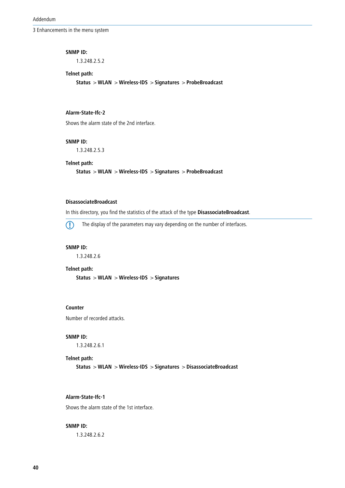#### **SNMP ID:**

1.3.248.2.5.2

# **Telnet path:**

**Status** > **WLAN** > **Wireless-IDS** > **Signatures** > **ProbeBroadcast**

# **Alarm-State-Ifc-2**

Shows the alarm state of the 2nd interface.

#### **SNMP ID:**

1.3.248.2.5.3

# **Telnet path:**

**Status** > **WLAN** > **Wireless-IDS** > **Signatures** > **ProbeBroadcast**

### **DisassociateBroadcast**

In this directory, you find the statistics of the attack of the type **DisassociateBroadcast**.

**The display of the parameters may vary depending on the number of interfaces.** 

#### **SNMP ID:**

1.3.248.2.6

#### **Telnet path:**

**Status** > **WLAN** > **Wireless-IDS** > **Signatures**

# **Counter**

Number of recorded attacks.

#### **SNMP ID:**

1.3.248.2.6.1

# **Telnet path:**

**Status** > **WLAN** > **Wireless-IDS** > **Signatures** > **DisassociateBroadcast**

# **Alarm-State-Ifc-1**

Shows the alarm state of the 1st interface.

# **SNMP ID:**

1.3.248.2.6.2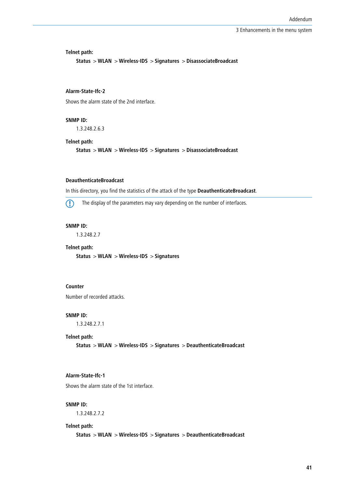**Telnet path:**

**Status** > **WLAN** > **Wireless-IDS** > **Signatures** > **DisassociateBroadcast**

# **Alarm-State-Ifc-2**

Shows the alarm state of the 2nd interface.

**SNMP ID:**

1.3.248.2.6.3

#### **Telnet path:**

**Status** > **WLAN** > **Wireless-IDS** > **Signatures** > **DisassociateBroadcast**

#### **DeauthenticateBroadcast**

In this directory, you find the statistics of the attack of the type **DeauthenticateBroadcast**.

**(1)** The display of the parameters may vary depending on the number of interfaces.

#### **SNMP ID:**

1.3.248.2.7

## **Telnet path:**

**Status** > **WLAN** > **Wireless-IDS** > **Signatures**

# **Counter**

Number of recorded attacks.

#### **SNMP ID:**

1.3.248.2.7.1

#### **Telnet path:**

**Status** > **WLAN** > **Wireless-IDS** > **Signatures** > **DeauthenticateBroadcast**

#### **Alarm-State-Ifc-1**

Shows the alarm state of the 1st interface.

# **SNMP ID:**

1.3.248.2.7.2

#### **Telnet path:**

**Status** > **WLAN** > **Wireless-IDS** > **Signatures** > **DeauthenticateBroadcast**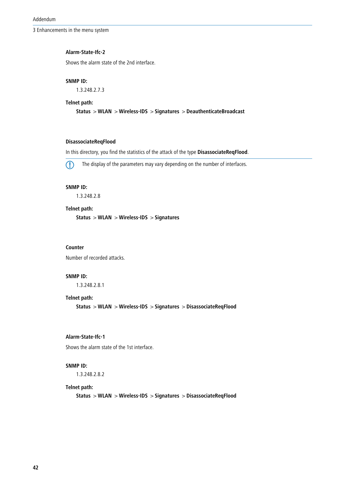# **Alarm-State-Ifc-2**

Shows the alarm state of the 2nd interface.

#### **SNMP ID:**

1.3.248.2.7.3

#### **Telnet path:**

**Status** > **WLAN** > **Wireless-IDS** > **Signatures** > **DeauthenticateBroadcast**

# **DisassociateReqFlood**

In this directory, you find the statistics of the attack of the type **DisassociateReqFlood**.



**(1)** The display of the parameters may vary depending on the number of interfaces.

# **SNMP ID:**

1.3.248.2.8

# **Telnet path:**

**Status** > **WLAN** > **Wireless-IDS** > **Signatures**

## **Counter**

Number of recorded attacks.

#### **SNMP ID:**

1.3.248.2.8.1

#### **Telnet path:**

**Status** > **WLAN** > **Wireless-IDS** > **Signatures** > **DisassociateReqFlood**

# **Alarm-State-Ifc-1**

Shows the alarm state of the 1st interface.

# **SNMP ID:**

1.3.248.2.8.2

#### **Telnet path:**

**Status** > **WLAN** > **Wireless-IDS** > **Signatures** > **DisassociateReqFlood**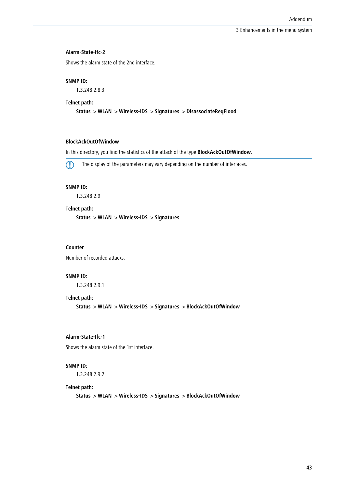#### **Alarm-State-Ifc-2**

Shows the alarm state of the 2nd interface.

#### **SNMP ID:**

1.3.248.2.8.3

#### **Telnet path:**

**Status** > **WLAN** > **Wireless-IDS** > **Signatures** > **DisassociateReqFlood**

# **BlockAckOutOfWindow**

In this directory, you find the statistics of the attack of the type **BlockAckOutOfWindow**.



5 The display of the parameters may vary depending on the number of interfaces.

# **SNMP ID:**

1.3.248.2.9

# **Telnet path:**

**Status** > **WLAN** > **Wireless-IDS** > **Signatures**

## **Counter**

Number of recorded attacks.

# **SNMP ID:**

1.3.248.2.9.1

# **Telnet path:**

**Status** > **WLAN** > **Wireless-IDS** > **Signatures** > **BlockAckOutOfWindow**

# **Alarm-State-Ifc-1**

Shows the alarm state of the 1st interface.

# **SNMP ID:**

1.3.248.2.9.2

#### **Telnet path:**

**Status** > **WLAN** > **Wireless-IDS** > **Signatures** > **BlockAckOutOfWindow**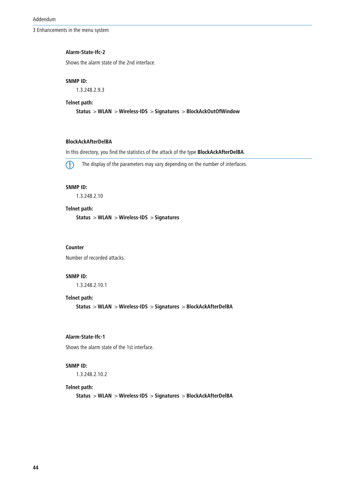# **Alarm-State-Ifc-2**

Shows the alarm state of the 2nd interface.

#### **SNMP ID:**

1.3.248.2.9.3

#### **Telnet path:**

**Status** > **WLAN** > **Wireless-IDS** > **Signatures** > **BlockAckOutOfWindow**

# **BlockAckAfterDelBA**

In this directory, you find the statistics of the attack of the type **BlockAckAfterDelBA**.



**(1)** The display of the parameters may vary depending on the number of interfaces.

# **SNMP ID:**

1.3.248.2.10

# **Telnet path:**

**Status** > **WLAN** > **Wireless-IDS** > **Signatures**

## **Counter**

Number of recorded attacks.

# **SNMP ID:**

1.3.248.2.10.1

#### **Telnet path:**

**Status** > **WLAN** > **Wireless-IDS** > **Signatures** > **BlockAckAfterDelBA**

# **Alarm-State-Ifc-1**

Shows the alarm state of the 1st interface.

# **SNMP ID:**

1.3.248.2.10.2

#### **Telnet path:**

**Status** > **WLAN** > **Wireless-IDS** > **Signatures** > **BlockAckAfterDelBA**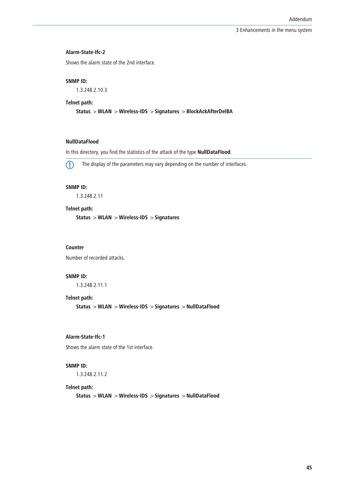#### **Alarm-State-Ifc-2**

Shows the alarm state of the 2nd interface.

#### **SNMP ID:**

1.3.248.2.10.3

#### **Telnet path:**

**Status** > **WLAN** > **Wireless-IDS** > **Signatures** > **BlockAckAfterDelBA**

# **NullDataFlood**

In this directory, you find the statistics of the attack of the type **NullDataFlood**.



5 The display of the parameters may vary depending on the number of interfaces.

# **SNMP ID:**

1.3.248.2.11

# **Telnet path:**

**Status** > **WLAN** > **Wireless-IDS** > **Signatures**

#### **Counter**

Number of recorded attacks.

# **SNMP ID:**

1.3.248.2.11.1

#### **Telnet path:**

**Status** > **WLAN** > **Wireless-IDS** > **Signatures** > **NullDataFlood**

# **Alarm-State-Ifc-1**

Shows the alarm state of the 1st interface.

# **SNMP ID:**

1.3.248.2.11.2

#### **Telnet path:**

**Status** > **WLAN** > **Wireless-IDS** > **Signatures** > **NullDataFlood**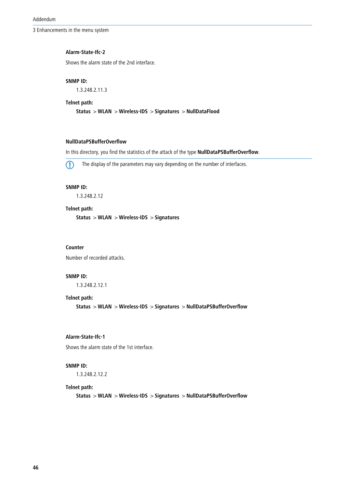#### **Alarm-State-Ifc-2**

Shows the alarm state of the 2nd interface.

#### **SNMP ID:**

1.3.248.2.11.3

#### **Telnet path:**

**Status** > **WLAN** > **Wireless-IDS** > **Signatures** > **NullDataFlood**

# **NullDataPSBufferOverflow**

In this directory, you find the statistics of the attack of the type **NullDataPSBufferOverflow**.



5 The display of the parameters may vary depending on the number of interfaces.

# **SNMP ID:**

1.3.248.2.12

# **Telnet path:**

**Status** > **WLAN** > **Wireless-IDS** > **Signatures**

#### **Counter**

Number of recorded attacks.

#### **SNMP ID:**

1.3.248.2.12.1

# **Telnet path:**

**Status** > **WLAN** > **Wireless-IDS** > **Signatures** > **NullDataPSBufferOverflow**

#### **Alarm-State-Ifc-1**

Shows the alarm state of the 1st interface.

# **SNMP ID:**

1.3.248.2.12.2

#### **Telnet path:**

**Status** > **WLAN** > **Wireless-IDS** > **Signatures** > **NullDataPSBufferOverflow**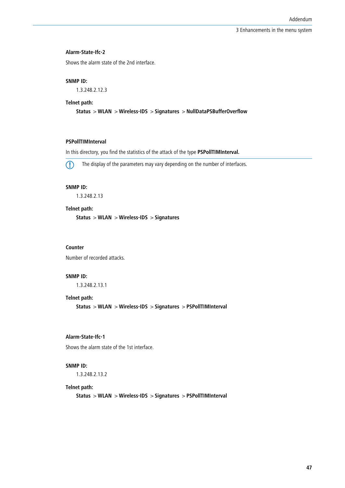#### **Alarm-State-Ifc-2**

Shows the alarm state of the 2nd interface.

#### **SNMP ID:**

1.3.248.2.12.3

#### **Telnet path:**

**Status** > **WLAN** > **Wireless-IDS** > **Signatures** > **NullDataPSBufferOverflow**

# **PSPollTIMInterval**

In this directory, you find the statistics of the attack of the type **PSPollTIMInterval.**



5 The display of the parameters may vary depending on the number of interfaces.

# **SNMP ID:**

1.3.248.2.13

# **Telnet path:**

**Status** > **WLAN** > **Wireless-IDS** > **Signatures**

#### **Counter**

Number of recorded attacks.

# **SNMP ID:**

1.3.248.2.13.1

# **Telnet path:**

**Status** > **WLAN** > **Wireless-IDS** > **Signatures** > **PSPollTIMInterval**

# **Alarm-State-Ifc-1**

Shows the alarm state of the 1st interface.

# **SNMP ID:**

1.3.248.2.13.2

#### **Telnet path:**

**Status** > **WLAN** > **Wireless-IDS** > **Signatures** > **PSPollTIMInterval**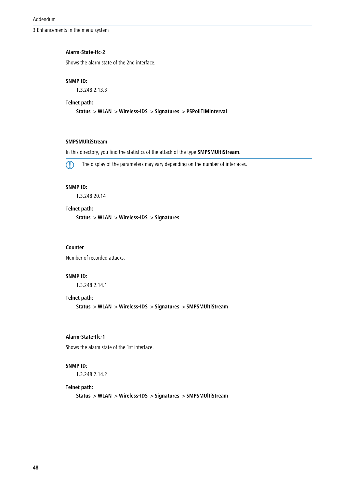#### **Alarm-State-Ifc-2**

Shows the alarm state of the 2nd interface.

#### **SNMP ID:**

1.3.248.2.13.3

#### **Telnet path:**

**Status** > **WLAN** > **Wireless-IDS** > **Signatures** > **PSPollTIMInterval**

# **SMPSMUltiStream**

In this directory, you find the statistics of the attack of the type **SMPSMUltiStream**.



5 The display of the parameters may vary depending on the number of interfaces.

# **SNMP ID:**

1.3.248.20.14

# **Telnet path:**

**Status** > **WLAN** > **Wireless-IDS** > **Signatures**

#### **Counter**

Number of recorded attacks.

# **SNMP ID:**

1.3.248.2.14.1

#### **Telnet path:**

**Status** > **WLAN** > **Wireless-IDS** > **Signatures** > **SMPSMUltiStream**

# **Alarm-State-Ifc-1**

Shows the alarm state of the 1st interface.

# **SNMP ID:**

1.3.248.2.14.2

#### **Telnet path:**

**Status** > **WLAN** > **Wireless-IDS** > **Signatures** > **SMPSMUltiStream**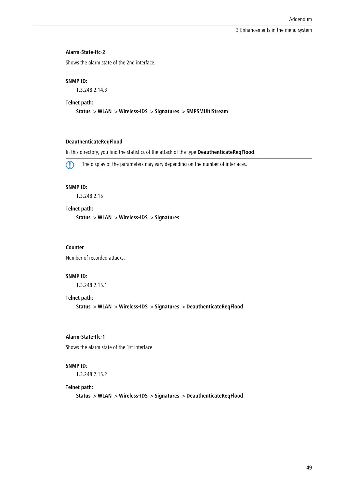#### **Alarm-State-Ifc-2**

Shows the alarm state of the 2nd interface.

#### **SNMP ID:**

1.3.248.2.14.3

#### **Telnet path:**

**Status** > **WLAN** > **Wireless-IDS** > **Signatures** > **SMPSMUltiStream**

# **DeauthenticateReqFlood**

In this directory, you find the statistics of the attack of the type **DeauthenticateReqFlood**.



5 The display of the parameters may vary depending on the number of interfaces.

# **SNMP ID:**

1.3.248.2.15

# **Telnet path:**

**Status** > **WLAN** > **Wireless-IDS** > **Signatures**

#### **Counter**

Number of recorded attacks.

# **SNMP ID:**

1.3.248.2.15.1

# **Telnet path:**

**Status** > **WLAN** > **Wireless-IDS** > **Signatures** > **DeauthenticateReqFlood**

# **Alarm-State-Ifc-1**

Shows the alarm state of the 1st interface.

# **SNMP ID:**

1.3.248.2.15.2

#### **Telnet path:**

**Status** > **WLAN** > **Wireless-IDS** > **Signatures** > **DeauthenticateReqFlood**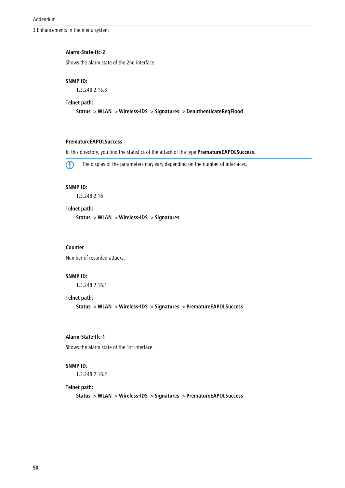#### **Alarm-State-Ifc-2**

Shows the alarm state of the 2nd interface.

#### **SNMP ID:**

1.3.248.2.15.3

#### **Telnet path:**

**Status** > **WLAN** > **Wireless-IDS** > **Signatures** > **DeauthenticateReqFlood**

# **PrematureEAPOLSuccess**

In this directory, you find the statistics of the attack of the type **PrematureEAPOLSuccess**.



5 The display of the parameters may vary depending on the number of interfaces.

# **SNMP ID:**

1.3.248.2.16

# **Telnet path:**

**Status** > **WLAN** > **Wireless-IDS** > **Signatures**

#### **Counter**

Number of recorded attacks.

#### **SNMP ID:**

1.3.248.2.16.1

#### **Telnet path:**

**Status** > **WLAN** > **Wireless-IDS** > **Signatures** > **PrematureEAPOLSuccess**

# **Alarm-State-Ifc-1**

Shows the alarm state of the 1st interface.

# **SNMP ID:**

1.3.248.2.16.2

#### **Telnet path:**

**Status** > **WLAN** > **Wireless-IDS** > **Signatures** > **PrematureEAPOLSuccess**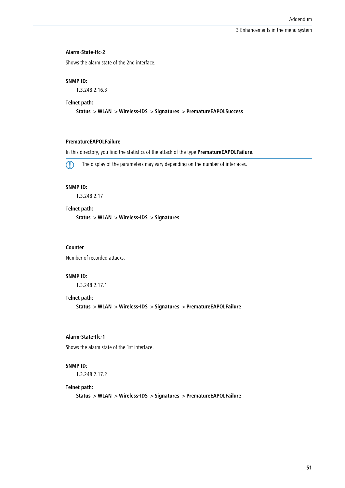#### **Alarm-State-Ifc-2**

Shows the alarm state of the 2nd interface.

#### **SNMP ID:**

1.3.248.2.16.3

#### **Telnet path:**

**Status** > **WLAN** > **Wireless-IDS** > **Signatures** > **PrematureEAPOLSuccess**

# **PrematureEAPOLFailure**

In this directory, you find the statistics of the attack of the type **PrematureEAPOLFailure.**



5 The display of the parameters may vary depending on the number of interfaces.

# **SNMP ID:**

1.3.248.2.17

# **Telnet path:**

**Status** > **WLAN** > **Wireless-IDS** > **Signatures**

#### **Counter**

Number of recorded attacks.

# **SNMP ID:**

1.3.248.2.17.1

# **Telnet path:**

**Status** > **WLAN** > **Wireless-IDS** > **Signatures** > **PrematureEAPOLFailure**

# **Alarm-State-Ifc-1**

Shows the alarm state of the 1st interface.

# **SNMP ID:**

1.3.248.2.17.2

#### **Telnet path:**

**Status** > **WLAN** > **Wireless-IDS** > **Signatures** > **PrematureEAPOLFailure**